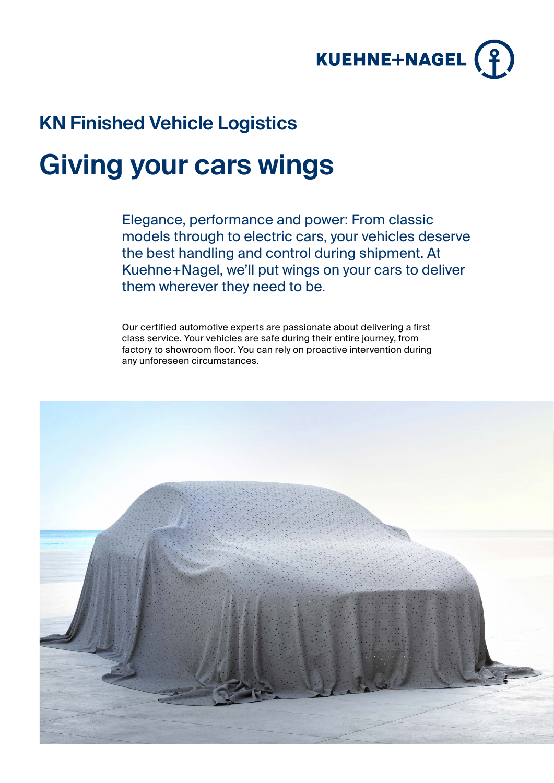

## **KN Finished Vehicle Logistics**

# **Giving your cars wings**

Elegance, performance and power: From classic models through to electric cars, your vehicles deserve the best handling and control during shipment. At Kuehne+Nagel, we'll put wings on your cars to deliver them wherever they need to be.

Our certified automotive experts are passionate about delivering a first class service. Your vehicles are safe during their entire journey, from factory to showroom floor. You can rely on proactive intervention during any unforeseen circumstances.